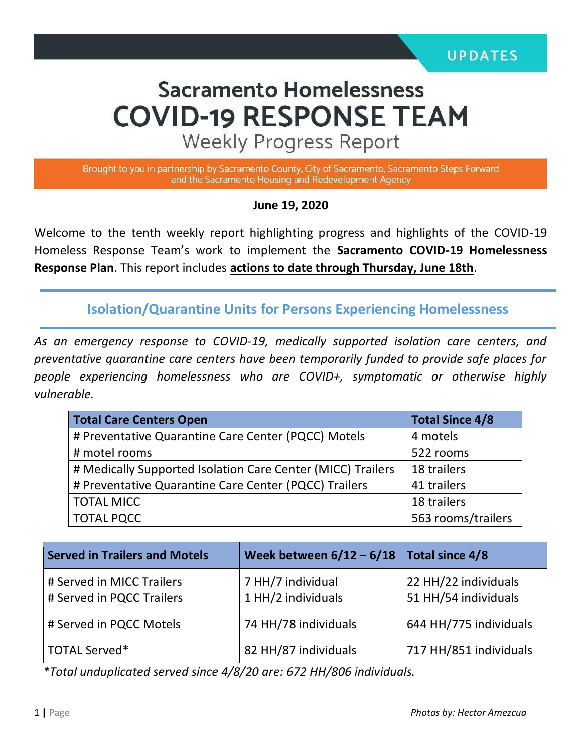# **Sacramento Homelessness COVID-19 RESPONSE TEAM**

**Weekly Progress Report** 

Brought to you in partnership by Sacramento County, City of Sacramento, Sacramento Steps Forward and the Sacramento Housing and Redevelopment Agency

#### **June 19, 2020**

Welcome to the tenth weekly report highlighting progress and highlights of the COVID-19 Homeless Response Team's work to implement the **Sacramento COVID-19 Homelessness Response Plan**. This report includes **actions to date through Thursday, June 18th**.

**Isolation/Quarantine Units for Persons Experiencing Homelessness**

*As an emergency response to COVID-19, medically supported isolation care centers, and preventative quarantine care centers have been temporarily funded to provide safe places for people experiencing homelessness who are COVID+, symptomatic or otherwise highly vulnerable.*

| <b>Total Care Centers Open</b>                              | <b>Total Since 4/8</b> |  |
|-------------------------------------------------------------|------------------------|--|
| # Preventative Quarantine Care Center (PQCC) Motels         | 4 motels               |  |
| # motel rooms                                               | 522 rooms              |  |
| # Medically Supported Isolation Care Center (MICC) Trailers | 18 trailers            |  |
| # Preventative Quarantine Care Center (PQCC) Trailers       | 41 trailers            |  |
| <b>TOTAL MICC</b>                                           | 18 trailers            |  |
| <b>TOTAL PQCC</b>                                           | 563 rooms/trailers     |  |

| <b>Served in Trailers and Motels</b>                   | Week between $6/12 - 6/18$ Total since 4/8 |                                              |
|--------------------------------------------------------|--------------------------------------------|----------------------------------------------|
| # Served in MICC Trailers<br># Served in PQCC Trailers | 7 HH/7 individual<br>1 HH/2 individuals    | 22 HH/22 individuals<br>51 HH/54 individuals |
| # Served in PQCC Motels                                | 74 HH/78 individuals                       | 644 HH/775 individuals                       |
| TOTAL Served*                                          | 82 HH/87 individuals                       | 717 HH/851 individuals                       |

*\*Total unduplicated served since 4/8/20 are: 672 HH/806 individuals.*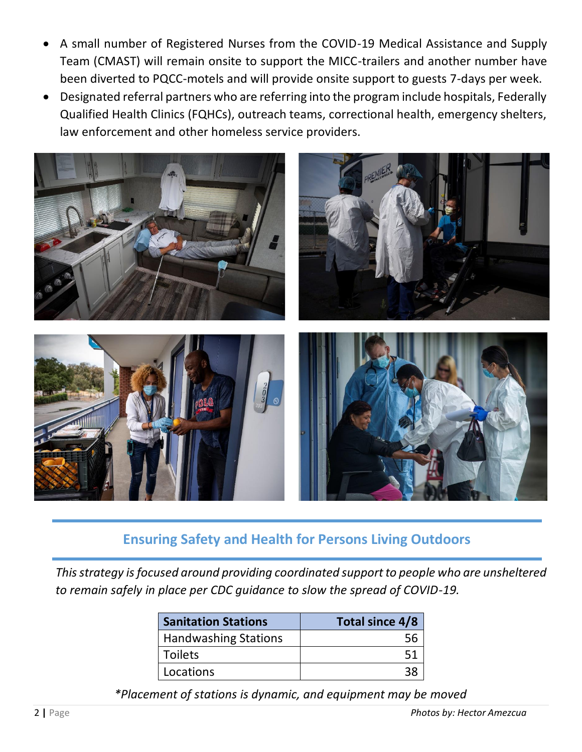- A small number of Registered Nurses from the COVID-19 Medical Assistance and Supply Team (CMAST) will remain onsite to support the MICC-trailers and another number have been diverted to PQCC-motels and will provide onsite support to guests 7-days per week.
- Designated referral partners who are referring into the program include hospitals, Federally Qualified Health Clinics (FQHCs), outreach teams, correctional health, emergency shelters, law enforcement and other homeless service providers.



## **Ensuring Safety and Health for Persons Living Outdoors**

*This strategy is focused around providing coordinated support to people who are unsheltered to remain safely in place per CDC guidance to slow the spread of COVID-19.*

| <b>Sanitation Stations</b>  | Total since 4/8 |
|-----------------------------|-----------------|
| <b>Handwashing Stations</b> |                 |
| <b>Toilets</b>              | 51              |
| Locations                   |                 |

*\*Placement of stations is dynamic, and equipment may be moved*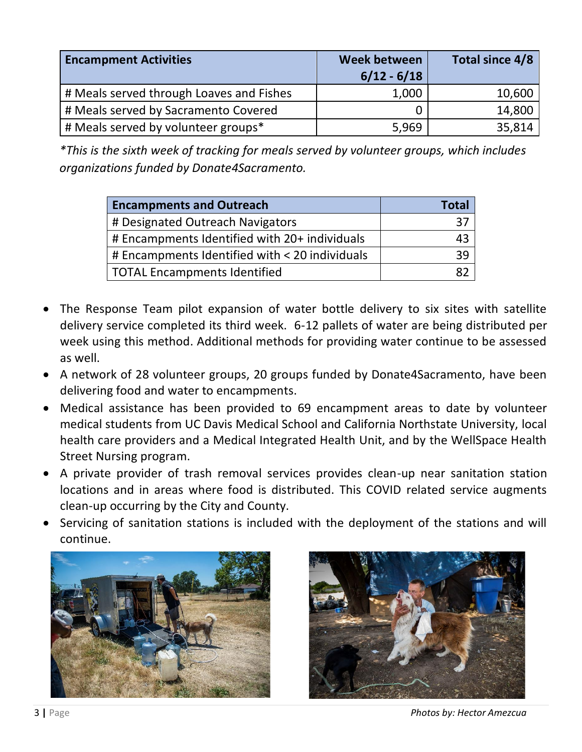| <b>Encampment Activities</b>             | <b>Week between</b><br>$6/12 - 6/18$ | Total since 4/8 |
|------------------------------------------|--------------------------------------|-----------------|
| # Meals served through Loaves and Fishes | 1,000                                | 10,600          |
| # Meals served by Sacramento Covered     |                                      | 14,800          |
| # Meals served by volunteer groups*      | 5,969                                | 35,814          |

*\*This is the sixth week of tracking for meals served by volunteer groups, which includes organizations funded by Donate4Sacramento.* 

| <b>Encampments and Outreach</b>                | <b>Total</b> |
|------------------------------------------------|--------------|
| # Designated Outreach Navigators               | 37           |
| # Encampments Identified with 20+ individuals  | 43           |
| # Encampments Identified with < 20 individuals | 39           |
| <b>TOTAL Encampments Identified</b>            |              |

- The Response Team pilot expansion of water bottle delivery to six sites with satellite delivery service completed its third week. 6-12 pallets of water are being distributed per week using this method. Additional methods for providing water continue to be assessed as well.
- A network of 28 volunteer groups, 20 groups funded by Donate4Sacramento, have been delivering food and water to encampments.
- Medical assistance has been provided to 69 encampment areas to date by volunteer medical students from UC Davis Medical School and California Northstate University, local health care providers and a Medical Integrated Health Unit, and by the WellSpace Health Street Nursing program.
- A private provider of trash removal services provides clean-up near sanitation station locations and in areas where food is distributed. This COVID related service augments clean-up occurring by the City and County.
- Servicing of sanitation stations is included with the deployment of the stations and will continue.





3 **|** Page *Photos by: Hector Amezcua*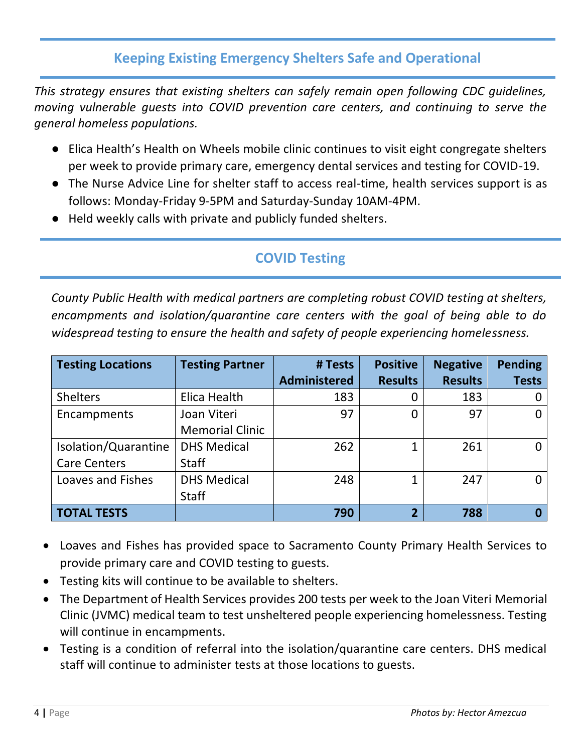# **Keeping Existing Emergency Shelters Safe and Operational**

*This strategy ensures that existing shelters can safely remain open following CDC guidelines, moving vulnerable guests into COVID prevention care centers, and continuing to serve the general homeless populations.* 

- Elica Health's Health on Wheels mobile clinic continues to visit eight congregate shelters per week to provide primary care, emergency dental services and testing for COVID-19.
- The Nurse Advice Line for shelter staff to access real-time, health services support is as follows: Monday-Friday 9-5PM and Saturday-Sunday 10AM-4PM.
- Held weekly calls with private and publicly funded shelters.

# **COVID Testing**

*County Public Health with medical partners are completing robust COVID testing at shelters, encampments and isolation/quarantine care centers with the goal of being able to do widespread testing to ensure the health and safety of people experiencing homelessness.* 

| <b>Testing Locations</b> | <b>Testing Partner</b> | # Tests             | <b>Positive</b> | <b>Negative</b> | <b>Pending</b> |
|--------------------------|------------------------|---------------------|-----------------|-----------------|----------------|
|                          |                        | <b>Administered</b> | <b>Results</b>  | <b>Results</b>  | <b>Tests</b>   |
| <b>Shelters</b>          | Elica Health           | 183                 |                 | 183             |                |
| Encampments              | Joan Viteri            | 97                  | 0               | 97              | 0              |
|                          | <b>Memorial Clinic</b> |                     |                 |                 |                |
| Isolation/Quarantine     | <b>DHS Medical</b>     | 262                 | 1               | 261             | 0              |
| <b>Care Centers</b>      | <b>Staff</b>           |                     |                 |                 |                |
| Loaves and Fishes        | <b>DHS Medical</b>     | 248                 | 1               | 247             | $\Omega$       |
|                          | <b>Staff</b>           |                     |                 |                 |                |
| <b>TOTAL TESTS</b>       |                        | 790                 | $\overline{2}$  | 788             |                |

- Loaves and Fishes has provided space to Sacramento County Primary Health Services to provide primary care and COVID testing to guests.
- Testing kits will continue to be available to shelters.
- The Department of Health Services provides 200 tests per week to the Joan Viteri Memorial Clinic (JVMC) medical team to test unsheltered people experiencing homelessness. Testing will continue in encampments.
- Testing is a condition of referral into the isolation/quarantine care centers. DHS medical staff will continue to administer tests at those locations to guests.